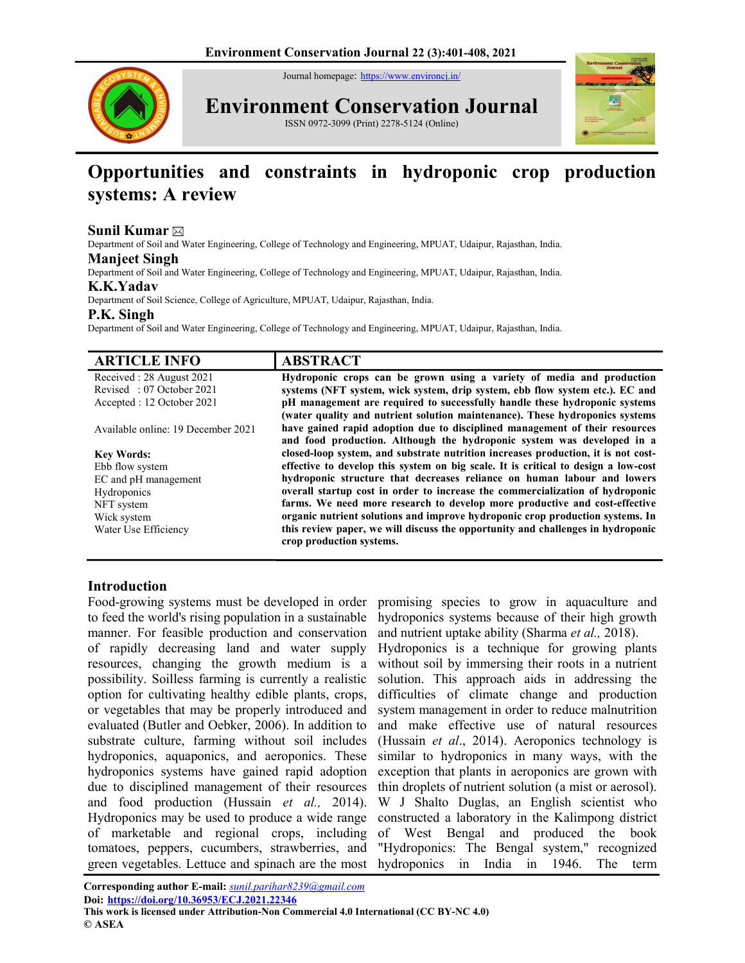Journal homepage: https://www.environcj.in/



Environment Conservation Journal

ISSN 0972-3099 (Print) 2278-5124 (Online)



# Opportunities and constraints in hydroponic crop production systems: A review

## Sunil Kumar  $\boxtimes$

Department of Soil and Water Engineering, College of Technology and Engineering, MPUAT, Udaipur, Rajasthan, India.

#### Manjeet Singh

Department of Soil and Water Engineering, College of Technology and Engineering, MPUAT, Udaipur, Rajasthan, India.

## K.K.Yadav

Department of Soil Science, College of Agriculture, MPUAT, Udaipur, Rajasthan, India.

#### P.K. Singh

Department of Soil and Water Engineering, College of Technology and Engineering, MPUAT, Udaipur, Rajasthan, India.

| <b>ARTICLE INFO</b>                | <b>ABSTRACT</b>                                                                                             |
|------------------------------------|-------------------------------------------------------------------------------------------------------------|
| Received: 28 August 2021           | Hydroponic crops can be grown using a variety of media and production                                       |
| Revised: 07 October 2021           | systems (NFT system, wick system, drip system, ebb flow system etc.). EC and                                |
| Accepted : 12 October 2021         | pH management are required to successfully handle these hydroponic systems                                  |
|                                    | (water quality and nutrient solution maintenance). These hydroponics systems                                |
| Available online: 19 December 2021 | have gained rapid adoption due to disciplined management of their resources                                 |
|                                    | and food production. Although the hydroponic system was developed in a                                      |
| <b>Key Words:</b>                  | closed-loop system, and substrate nutrition increases production, it is not cost-                           |
| Ebb flow system                    | effective to develop this system on big scale. It is critical to design a low-cost                          |
| EC and pH management               | hydroponic structure that decreases reliance on human labour and lowers                                     |
| Hydroponics                        | overall startup cost in order to increase the commercialization of hydroponic                               |
| NFT system                         | farms. We need more research to develop more productive and cost-effective                                  |
| Wick system                        | organic nutrient solutions and improve hydroponic crop production systems. In                               |
| Water Use Efficiency               | this review paper, we will discuss the opportunity and challenges in hydroponic<br>crop production systems. |

# Introduction

Food-growing systems must be developed in order to feed the world's rising population in a sustainable manner. For feasible production and conservation of rapidly decreasing land and water supply resources, changing the growth medium is a possibility. Soilless farming is currently a realistic option for cultivating healthy edible plants, crops, or vegetables that may be properly introduced and evaluated (Butler and Oebker, 2006). In addition to substrate culture, farming without soil includes hydroponics, aquaponics, and aeroponics. These hydroponics systems have gained rapid adoption due to disciplined management of their resources and food production (Hussain et al., 2014). Hydroponics may be used to produce a wide range of marketable and regional crops, including tomatoes, peppers, cucumbers, strawberries, and green vegetables. Lettuce and spinach are the most hydroponics in India in 1946. The term

promising species to grow in aquaculture and hydroponics systems because of their high growth and nutrient uptake ability (Sharma et al., 2018).

Hydroponics is a technique for growing plants without soil by immersing their roots in a nutrient solution. This approach aids in addressing the difficulties of climate change and production system management in order to reduce malnutrition and make effective use of natural resources (Hussain et al., 2014). Aeroponics technology is similar to hydroponics in many ways, with the exception that plants in aeroponics are grown with thin droplets of nutrient solution (a mist or aerosol). W J Shalto Duglas, an English scientist who constructed a laboratory in the Kalimpong district of West Bengal and produced the book "Hydroponics: The Bengal system," recognized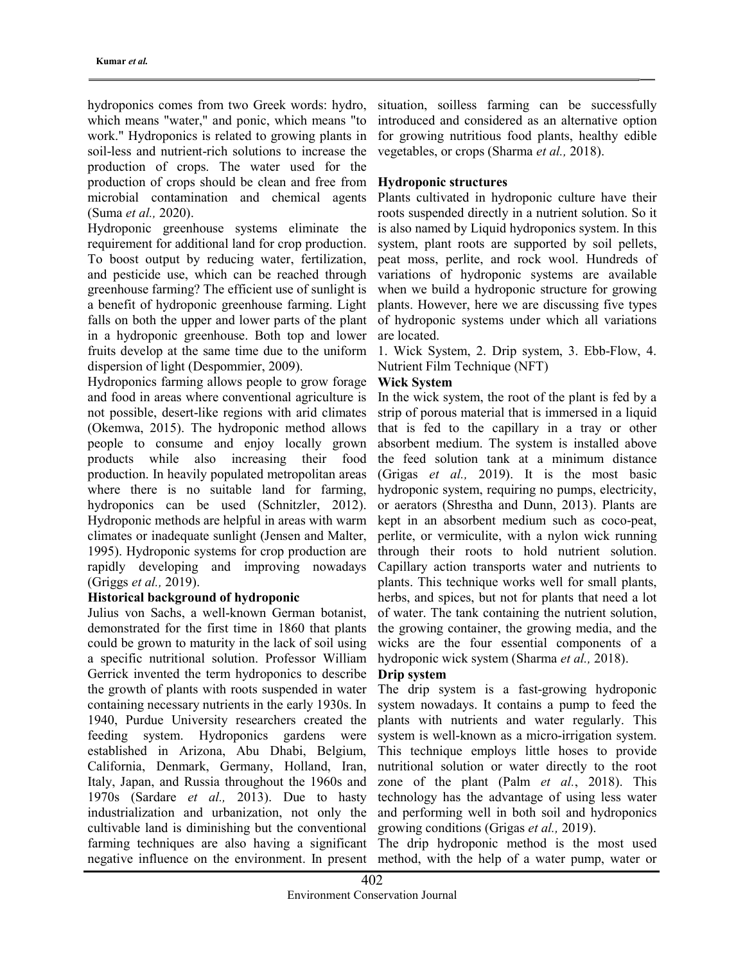hydroponics comes from two Greek words: hydro, which means "water," and ponic, which means "to work." Hydroponics is related to growing plants in soil-less and nutrient-rich solutions to increase the production of crops. The water used for the production of crops should be clean and free from microbial contamination and chemical agents (Suma et al., 2020).

Hydroponic greenhouse systems eliminate the requirement for additional land for crop production. To boost output by reducing water, fertilization, and pesticide use, which can be reached through greenhouse farming? The efficient use of sunlight is a benefit of hydroponic greenhouse farming. Light falls on both the upper and lower parts of the plant in a hydroponic greenhouse. Both top and lower fruits develop at the same time due to the uniform dispersion of light (Despommier, 2009).

Hydroponics farming allows people to grow forage and food in areas where conventional agriculture is not possible, desert-like regions with arid climates (Okemwa, 2015). The hydroponic method allows people to consume and enjoy locally grown products while also increasing their food production. In heavily populated metropolitan areas where there is no suitable land for farming, hydroponics can be used (Schnitzler, 2012). Hydroponic methods are helpful in areas with warm climates or inadequate sunlight (Jensen and Malter, 1995). Hydroponic systems for crop production are rapidly developing and improving nowadays (Griggs et al., 2019).

#### Historical background of hydroponic

Julius von Sachs, a well-known German botanist, demonstrated for the first time in 1860 that plants could be grown to maturity in the lack of soil using a specific nutritional solution. Professor William Gerrick invented the term hydroponics to describe the growth of plants with roots suspended in water containing necessary nutrients in the early 1930s. In 1940, Purdue University researchers created the feeding system. Hydroponics gardens were established in Arizona, Abu Dhabi, Belgium, California, Denmark, Germany, Holland, Iran, Italy, Japan, and Russia throughout the 1960s and 1970s (Sardare et al., 2013). Due to hasty industrialization and urbanization, not only the cultivable land is diminishing but the conventional farming techniques are also having a significant negative influence on the environment. In present

situation, soilless farming can be successfully introduced and considered as an alternative option for growing nutritious food plants, healthy edible vegetables, or crops (Sharma et al., 2018).

## Hydroponic structures

Plants cultivated in hydroponic culture have their roots suspended directly in a nutrient solution. So it is also named by Liquid hydroponics system. In this system, plant roots are supported by soil pellets, peat moss, perlite, and rock wool. Hundreds of variations of hydroponic systems are available when we build a hydroponic structure for growing plants. However, here we are discussing five types of hydroponic systems under which all variations are located.

1. Wick System, 2. Drip system, 3. Ebb-Flow, 4. Nutrient Film Technique (NFT)

## Wick System

In the wick system, the root of the plant is fed by a strip of porous material that is immersed in a liquid that is fed to the capillary in a tray or other absorbent medium. The system is installed above the feed solution tank at a minimum distance (Grigas et al., 2019). It is the most basic hydroponic system, requiring no pumps, electricity, or aerators (Shrestha and Dunn, 2013). Plants are kept in an absorbent medium such as coco-peat, perlite, or vermiculite, with a nylon wick running through their roots to hold nutrient solution. Capillary action transports water and nutrients to plants. This technique works well for small plants, herbs, and spices, but not for plants that need a lot of water. The tank containing the nutrient solution, the growing container, the growing media, and the wicks are the four essential components of a hydroponic wick system (Sharma et al., 2018).

## Drip system

The drip system is a fast-growing hydroponic system nowadays. It contains a pump to feed the plants with nutrients and water regularly. This system is well-known as a micro-irrigation system. This technique employs little hoses to provide nutritional solution or water directly to the root zone of the plant (Palm et al., 2018). This technology has the advantage of using less water and performing well in both soil and hydroponics growing conditions (Grigas et al., 2019).

The drip hydroponic method is the most used method, with the help of a water pump, water or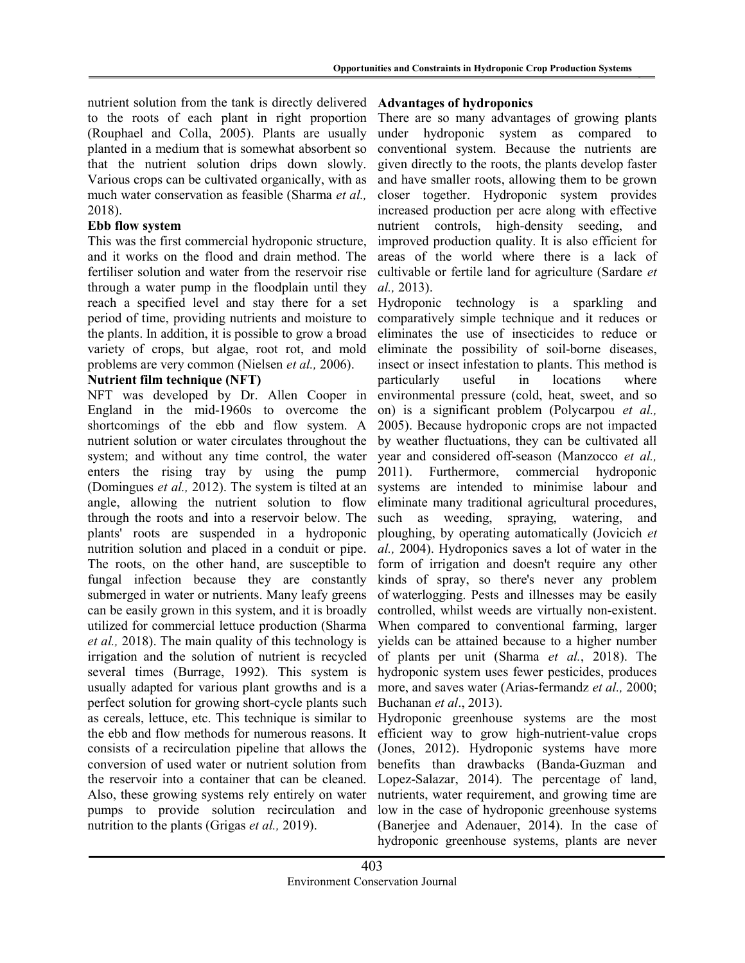nutrient solution from the tank is directly delivered to the roots of each plant in right proportion (Rouphael and Colla, 2005). Plants are usually planted in a medium that is somewhat absorbent so that the nutrient solution drips down slowly. Various crops can be cultivated organically, with as much water conservation as feasible (Sharma et al., 2018).

## Ebb flow system

This was the first commercial hydroponic structure, and it works on the flood and drain method. The fertiliser solution and water from the reservoir rise through a water pump in the floodplain until they reach a specified level and stay there for a set period of time, providing nutrients and moisture to the plants. In addition, it is possible to grow a broad variety of crops, but algae, root rot, and mold problems are very common (Nielsen et al., 2006).

## Nutrient film technique (NFT)

NFT was developed by Dr. Allen Cooper in England in the mid-1960s to overcome the shortcomings of the ebb and flow system. A nutrient solution or water circulates throughout the system; and without any time control, the water enters the rising tray by using the pump (Domingues et al., 2012). The system is tilted at an angle, allowing the nutrient solution to flow through the roots and into a reservoir below. The plants' roots are suspended in a hydroponic nutrition solution and placed in a conduit or pipe. The roots, on the other hand, are susceptible to fungal infection because they are constantly submerged in water or nutrients. Many leafy greens can be easily grown in this system, and it is broadly utilized for commercial lettuce production (Sharma et al., 2018). The main quality of this technology is irrigation and the solution of nutrient is recycled several times (Burrage, 1992). This system is usually adapted for various plant growths and is a perfect solution for growing short-cycle plants such as cereals, lettuce, etc. This technique is similar to the ebb and flow methods for numerous reasons. It consists of a recirculation pipeline that allows the conversion of used water or nutrient solution from the reservoir into a container that can be cleaned. Also, these growing systems rely entirely on water pumps to provide solution recirculation and nutrition to the plants (Grigas *et al.*, 2019).

## Advantages of hydroponics

There are so many advantages of growing plants under hydroponic system as compared to conventional system. Because the nutrients are given directly to the roots, the plants develop faster and have smaller roots, allowing them to be grown closer together. Hydroponic system provides increased production per acre along with effective nutrient controls, high-density seeding, and improved production quality. It is also efficient for areas of the world where there is a lack of cultivable or fertile land for agriculture (Sardare et al., 2013).

Hydroponic technology is a sparkling and comparatively simple technique and it reduces or eliminates the use of insecticides to reduce or eliminate the possibility of soil-borne diseases, insect or insect infestation to plants. This method is particularly useful in locations where environmental pressure (cold, heat, sweet, and so on) is a significant problem (Polycarpou et al., 2005). Because hydroponic crops are not impacted by weather fluctuations, they can be cultivated all year and considered off-season (Manzocco et al., 2011). Furthermore, commercial hydroponic systems are intended to minimise labour and eliminate many traditional agricultural procedures, such as weeding, spraying, watering, and ploughing, by operating automatically (Jovicich et al., 2004). Hydroponics saves a lot of water in the form of irrigation and doesn't require any other kinds of spray, so there's never any problem of waterlogging. Pests and illnesses may be easily controlled, whilst weeds are virtually non-existent. When compared to conventional farming, larger yields can be attained because to a higher number of plants per unit (Sharma et al., 2018). The hydroponic system uses fewer pesticides, produces more, and saves water (Arias-fermandz *et al.*, 2000; Buchanan et al., 2013).

Hydroponic greenhouse systems are the most efficient way to grow high-nutrient-value crops (Jones, 2012). Hydroponic systems have more benefits than drawbacks (Banda-Guzman and Lopez-Salazar, 2014). The percentage of land, nutrients, water requirement, and growing time are low in the case of hydroponic greenhouse systems (Banerjee and Adenauer, 2014). In the case of hydroponic greenhouse systems, plants are never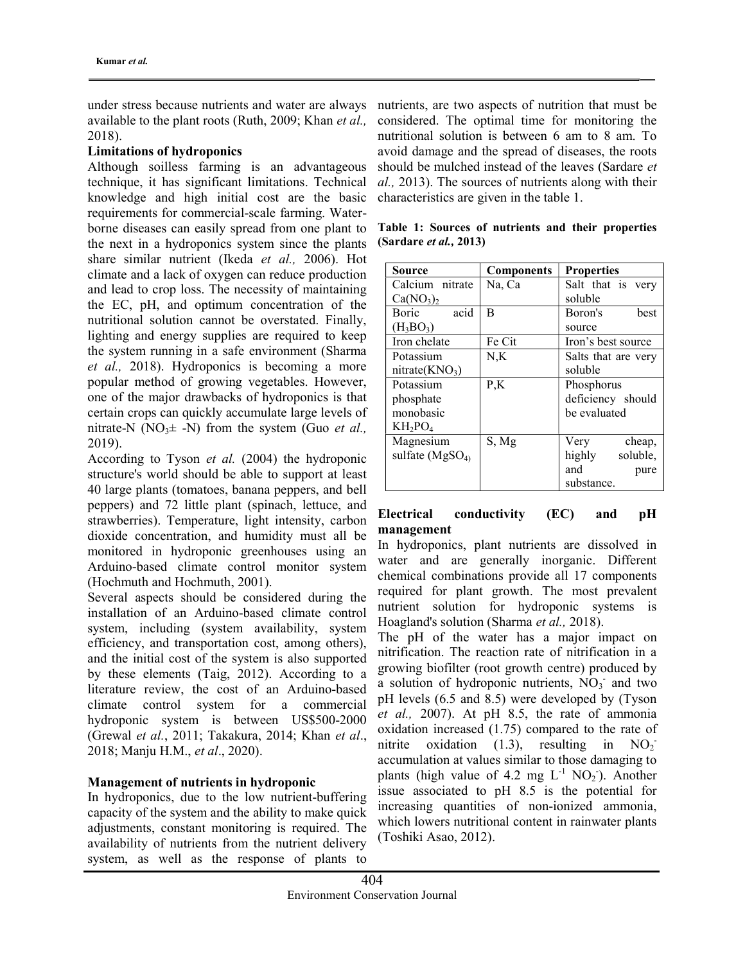under stress because nutrients and water are always available to the plant roots (Ruth, 2009; Khan et al., 2018).

#### Limitations of hydroponics

Although soilless farming is an advantageous technique, it has significant limitations. Technical knowledge and high initial cost are the basic requirements for commercial-scale farming. Waterborne diseases can easily spread from one plant to the next in a hydroponics system since the plants share similar nutrient (Ikeda et al., 2006). Hot climate and a lack of oxygen can reduce production and lead to crop loss. The necessity of maintaining the EC, pH, and optimum concentration of the nutritional solution cannot be overstated. Finally, lighting and energy supplies are required to keep the system running in a safe environment (Sharma et al., 2018). Hydroponics is becoming a more popular method of growing vegetables. However, one of the major drawbacks of hydroponics is that certain crops can quickly accumulate large levels of nitrate-N (NO<sub>3</sub> $\pm$  -N) from the system (Guo *et al.*, 2019).

According to Tyson et al. (2004) the hydroponic structure's world should be able to support at least 40 large plants (tomatoes, banana peppers, and bell peppers) and 72 little plant (spinach, lettuce, and strawberries). Temperature, light intensity, carbon dioxide concentration, and humidity must all be monitored in hydroponic greenhouses using an Arduino-based climate control monitor system (Hochmuth and Hochmuth, 2001).

Several aspects should be considered during the installation of an Arduino-based climate control system, including (system availability, system efficiency, and transportation cost, among others), and the initial cost of the system is also supported by these elements (Taig, 2012). According to a literature review, the cost of an Arduino-based climate control system for a commercial hydroponic system is between US\$500-2000 (Grewal et al., 2011; Takakura, 2014; Khan et al., 2018; Manju H.M., et al., 2020).

## Management of nutrients in hydroponic

In hydroponics, due to the low nutrient-buffering capacity of the system and the ability to make quick adjustments, constant monitoring is required. The availability of nutrients from the nutrient delivery system, as well as the response of plants to

nutrients, are two aspects of nutrition that must be considered. The optimal time for monitoring the nutritional solution is between 6 am to 8 am. To avoid damage and the spread of diseases, the roots should be mulched instead of the leaves (Sardare et al., 2013). The sources of nutrients along with their characteristics are given in the table 1.

|  |                                |  |  | Table 1: Sources of nutrients and their properties |
|--|--------------------------------|--|--|----------------------------------------------------|
|  | (Sardare <i>et al.</i> , 2013) |  |  |                                                    |

| Source                            | <b>Components</b> | <b>Properties</b>   |  |
|-----------------------------------|-------------------|---------------------|--|
| Calcium nitrate                   | Na, Ca            | Salt that is very   |  |
| Ca(NO <sub>3</sub> ) <sub>2</sub> |                   | soluble             |  |
| acid<br>Boric                     | B                 | Boron's<br>hest     |  |
| $(H_3BO_3)$                       |                   | source              |  |
| Iron chelate                      | Fe Cit            | Iron's best source  |  |
| Potassium                         | N,K               | Salts that are very |  |
| nitrate( $KNO3$ )                 |                   | soluble             |  |
| Potassium                         | P,K               | Phosphorus          |  |
| phosphate                         |                   | deficiency should   |  |
| monobasic                         |                   | be evaluated        |  |
| $KH_2PO_4$                        |                   |                     |  |
| Magnesium                         | S, Mg             | Very<br>cheap,      |  |
| sulfate $(MgSO_4)$                |                   | highly<br>soluble,  |  |
|                                   |                   | and<br>pure         |  |
|                                   |                   | substance.          |  |

## Electrical conductivity (EC) and pH management

In hydroponics, plant nutrients are dissolved in water and are generally inorganic. Different chemical combinations provide all 17 components required for plant growth. The most prevalent nutrient solution for hydroponic systems is Hoagland's solution (Sharma et al., 2018).

The pH of the water has a major impact on nitrification. The reaction rate of nitrification in a growing biofilter (root growth centre) produced by a solution of hydroponic nutrients,  $\overline{NO_3}$  and two pH levels (6.5 and 8.5) were developed by (Tyson et al., 2007). At pH 8.5, the rate of ammonia oxidation increased (1.75) compared to the rate of nitrite oxidation  $(1.3)$ , resulting in  $NO<sub>2</sub>$ accumulation at values similar to those damaging to plants (high value of 4.2 mg  $L^{-1}$  NO<sub>2</sub>). Another issue associated to pH 8.5 is the potential for increasing quantities of non-ionized ammonia, which lowers nutritional content in rainwater plants (Toshiki Asao, 2012).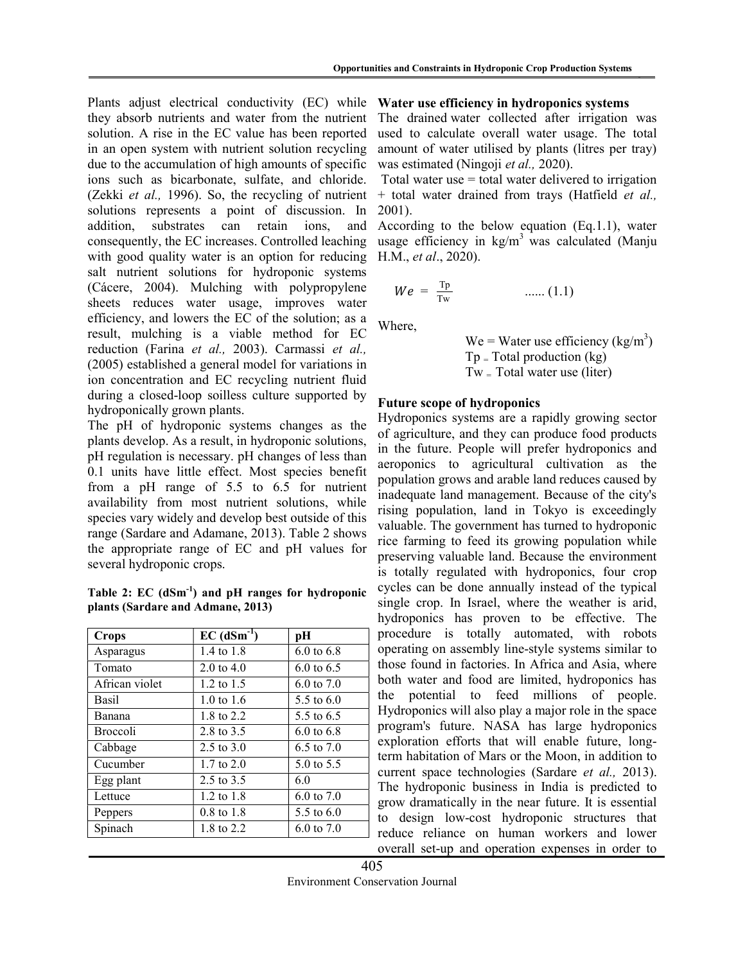Plants adjust electrical conductivity (EC) while they absorb nutrients and water from the nutrient solution. A rise in the EC value has been reported in an open system with nutrient solution recycling due to the accumulation of high amounts of specific ions such as bicarbonate, sulfate, and chloride. (Zekki et al., 1996). So, the recycling of nutrient solutions represents a point of discussion. In addition, substrates can retain ions, and consequently, the EC increases. Controlled leaching with good quality water is an option for reducing salt nutrient solutions for hydroponic systems (Cácere, 2004). Mulching with polypropylene sheets reduces water usage, improves water efficiency, and lowers the EC of the solution; as a result, mulching is a viable method for EC reduction (Farina et al., 2003). Carmassi et al., (2005) established a general model for variations in ion concentration and EC recycling nutrient fluid during a closed-loop soilless culture supported by hydroponically grown plants.

The pH of hydroponic systems changes as the plants develop. As a result, in hydroponic solutions, pH regulation is necessary. pH changes of less than 0.1 units have little effect. Most species benefit from a pH range of 5.5 to 6.5 for nutrient availability from most nutrient solutions, while species vary widely and develop best outside of this range (Sardare and Adamane, 2013). Table 2 shows the appropriate range of EC and pH values for several hydroponic crops.

Table 2:  $EC$  ( $dSm^{-1}$ ) and  $pH$  ranges for hydroponic plants (Sardare and Admane, 2013)

| $EC (dSm-1)$          | pН                    |
|-----------------------|-----------------------|
| 1.4 to 1.8            | $6.0 \text{ to } 6.8$ |
| 2.0 to $4.0$          | 6.0 to $6.5$          |
| $1.2 \text{ to } 1.5$ | 6.0 to $7.0$          |
| 1.0 to 1.6            | 5.5 to $6.0$          |
| 1.8 to 2.2            | 5.5 to 6.5            |
| 2.8 to 3.5            | 6.0 to 6.8            |
| 2.5 to $3.0$          | 6.5 to $7.0$          |
| $1.7 \text{ to } 2.0$ | 5.0 to 5.5            |
| 2.5 to 3.5            | 6.0                   |
| 1.2 to $1.8$          | 6.0 to $7.0$          |
| $0.8 \text{ to } 1.8$ | 5.5 to $6.0$          |
| 1.8 to 2.2            | $6.0 \text{ to } 7.0$ |
|                       |                       |

Water use efficiency in hydroponics systems

The drained water collected after irrigation was used to calculate overall water usage. The total amount of water utilised by plants (litres per tray) was estimated (Ningoji et al., 2020).

Total water use  $=$  total water delivered to irrigation + total water drained from trays (Hatfield et al., 2001).

According to the below equation (Eq.1.1), water usage efficiency in  $kg/m<sup>3</sup>$  was calculated (Manju H.M., et al., 2020).

$$
We = \frac{\text{Tp}}{\text{Tw}} \qquad \qquad \dots \dots (1.1)
$$

Where,

We = Water use efficiency 
$$
(kg/m3)
$$
  
Tp = Total production  $(kg)$   
Tw = Total water use (liter)

#### Future scope of hydroponics

Hydroponics systems are a rapidly growing sector of agriculture, and they can produce food products in the future. People will prefer hydroponics and aeroponics to agricultural cultivation as the population grows and arable land reduces caused by inadequate land management. Because of the city's rising population, land in Tokyo is exceedingly valuable. The government has turned to hydroponic rice farming to feed its growing population while preserving valuable land. Because the environment is totally regulated with hydroponics, four crop cycles can be done annually instead of the typical single crop. In Israel, where the weather is arid, hydroponics has proven to be effective. The procedure is totally automated, with robots operating on assembly line-style systems similar to those found in factories. In Africa and Asia, where both water and food are limited, hydroponics has the potential to feed millions of people. Hydroponics will also play a major role in the space program's future. NASA has large hydroponics exploration efforts that will enable future, longterm habitation of Mars or the Moon, in addition to current space technologies (Sardare et al., 2013). The hydroponic business in India is predicted to grow dramatically in the near future. It is essential to design low-cost hydroponic structures that reduce reliance on human workers and lower overall set-up and operation expenses in order to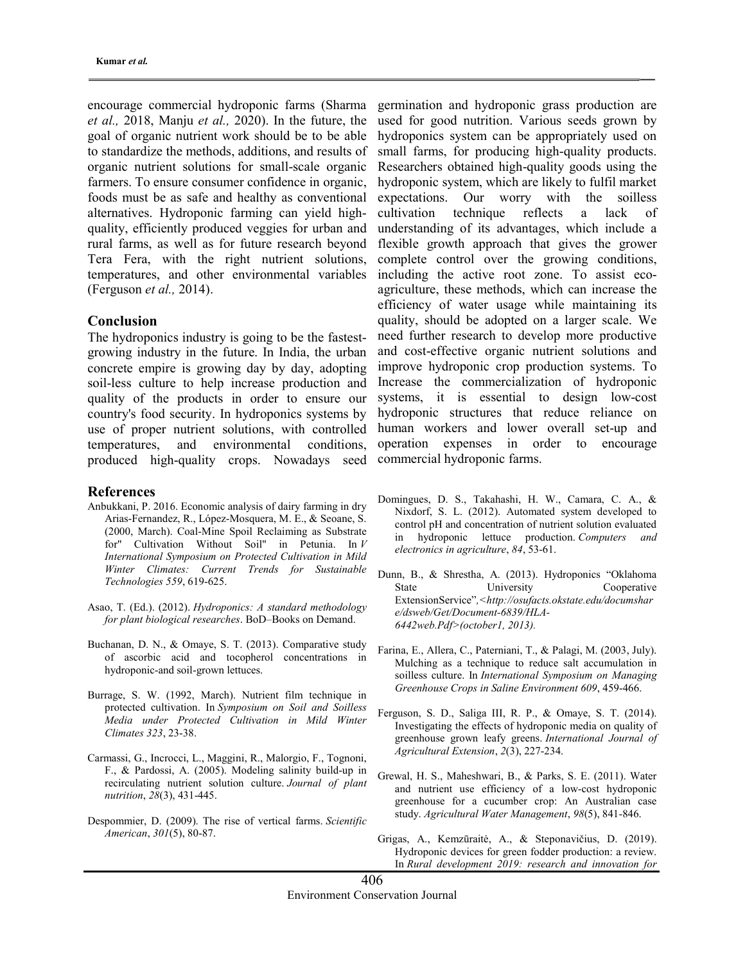encourage commercial hydroponic farms (Sharma et al., 2018, Manju et al., 2020). In the future, the goal of organic nutrient work should be to be able to standardize the methods, additions, and results of organic nutrient solutions for small-scale organic farmers. To ensure consumer confidence in organic, foods must be as safe and healthy as conventional alternatives. Hydroponic farming can yield highquality, efficiently produced veggies for urban and rural farms, as well as for future research beyond Tera Fera, with the right nutrient solutions, temperatures, and other environmental variables (Ferguson et al., 2014).

#### Conclusion

The hydroponics industry is going to be the fastestgrowing industry in the future. In India, the urban concrete empire is growing day by day, adopting soil-less culture to help increase production and quality of the products in order to ensure our country's food security. In hydroponics systems by use of proper nutrient solutions, with controlled temperatures, and environmental conditions, produced high-quality crops. Nowadays seed

#### References

- Anbukkani, P. 2016. Economic analysis of dairy farming in dry Arias-Fernandez, R., López-Mosquera, M. E., & Seoane, S. (2000, March). Coal-Mine Spoil Reclaiming as Substrate for" Cultivation Without Soil" in Petunia. In V International Symposium on Protected Cultivation in Mild Winter Climates: Current Trends for Sustainable Technologies 559, 619-625.
- Asao, T. (Ed.). (2012). Hydroponics: A standard methodology for plant biological researches. BoD–Books on Demand.
- Buchanan, D. N., & Omaye, S. T. (2013). Comparative study of ascorbic acid and tocopherol concentrations in hydroponic-and soil-grown lettuces.
- Burrage, S. W. (1992, March). Nutrient film technique in protected cultivation. In Symposium on Soil and Soilless Media under Protected Cultivation in Mild Winter Climates 323, 23-38.
- Carmassi, G., Incrocci, L., Maggini, R., Malorgio, F., Tognoni, F., & Pardossi, A. (2005). Modeling salinity build-up in recirculating nutrient solution culture. Journal of plant nutrition, 28(3), 431-445.
- Despommier, D. (2009). The rise of vertical farms. Scientific American, 301(5), 80-87.

germination and hydroponic grass production are used for good nutrition. Various seeds grown by hydroponics system can be appropriately used on small farms, for producing high-quality products. Researchers obtained high-quality goods using the hydroponic system, which are likely to fulfil market expectations. Our worry with the soilless cultivation technique reflects a lack of understanding of its advantages, which include a flexible growth approach that gives the grower complete control over the growing conditions, including the active root zone. To assist ecoagriculture, these methods, which can increase the efficiency of water usage while maintaining its quality, should be adopted on a larger scale. We need further research to develop more productive and cost-effective organic nutrient solutions and improve hydroponic crop production systems. To Increase the commercialization of hydroponic systems, it is essential to design low-cost hydroponic structures that reduce reliance on human workers and lower overall set-up and operation expenses in order to encourage commercial hydroponic farms.

- Domingues, D. S., Takahashi, H. W., Camara, C. A., & Nixdorf, S. L. (2012). Automated system developed to control pH and concentration of nutrient solution evaluated in hydroponic lettuce production. Computers and electronics in agriculture, 84, 53-61.
- Dunn, B., & Shrestha, A. (2013). Hydroponics "Oklahoma State University Cooperative ExtensionService",<http://osufacts.okstate.edu/documshar e/dsweb/Get/Document-6839/HLA-6442web.Pdf>(october1, 2013).
- Farina, E., Allera, C., Paterniani, T., & Palagi, M. (2003, July). Mulching as a technique to reduce salt accumulation in soilless culture. In International Symposium on Managing Greenhouse Crops in Saline Environment 609, 459-466.
- Ferguson, S. D., Saliga III, R. P., & Omaye, S. T. (2014). Investigating the effects of hydroponic media on quality of greenhouse grown leafy greens. International Journal of Agricultural Extension, 2(3), 227-234.
- Grewal, H. S., Maheshwari, B., & Parks, S. E. (2011). Water and nutrient use efficiency of a low-cost hydroponic greenhouse for a cucumber crop: An Australian case study. Agricultural Water Management, 98(5), 841-846.
- Grigas, A., Kemzūraitė, A., & Steponavičius, D. (2019). Hydroponic devices for green fodder production: a review. In Rural development 2019: research and innovation for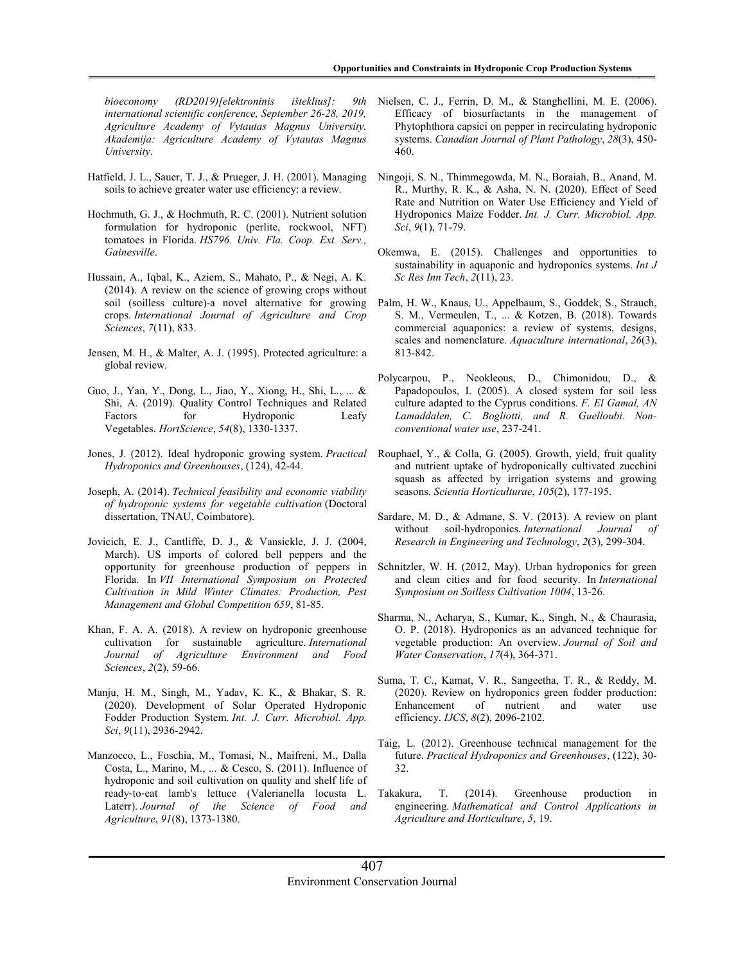bioeconomy (RD2019)[elektroninis išteklius]: 9th international scientific conference, September 26-28, 2019, Agriculture Academy of Vytautas Magnus University. Akademija: Agriculture Academy of Vytautas Magnus University.

- Hatfield, J. L., Sauer, T. J., & Prueger, J. H. (2001). Managing soils to achieve greater water use efficiency: a review.
- Hochmuth, G. J., & Hochmuth, R. C. (2001). Nutrient solution formulation for hydroponic (perlite, rockwool, NFT) tomatoes in Florida. HS796. Univ. Fla. Coop. Ext. Serv., Gainesville.
- Hussain, A., Iqbal, K., Aziem, S., Mahato, P., & Negi, A. K. (2014). A review on the science of growing crops without soil (soilless culture)-a novel alternative for growing crops. International Journal of Agriculture and Crop Sciences, 7(11), 833.
- Jensen, M. H., & Malter, A. J. (1995). Protected agriculture: a global review.
- Guo, J., Yan, Y., Dong, L., Jiao, Y., Xiong, H., Shi, L., ... & Shi, A. (2019). Quality Control Techniques and Related Factors for Hydroponic Leafy Vegetables. HortScience, 54(8), 1330-1337.
- Jones, J. (2012). Ideal hydroponic growing system. Practical Hydroponics and Greenhouses, (124), 42-44.
- Joseph, A. (2014). Technical feasibility and economic viability of hydroponic systems for vegetable cultivation (Doctoral dissertation, TNAU, Coimbatore).
- Jovicich, E. J., Cantliffe, D. J., & Vansickle, J. J. (2004, March). US imports of colored bell peppers and the opportunity for greenhouse production of peppers in Florida. In VII International Symposium on Protected Cultivation in Mild Winter Climates: Production, Pest Management and Global Competition 659, 81-85.
- Khan, F. A. A. (2018). A review on hydroponic greenhouse cultivation for sustainable agriculture. International Journal of Agriculture Environment and Food Sciences, 2(2), 59-66.
- Manju, H. M., Singh, M., Yadav, K. K., & Bhakar, S. R. (2020). Development of Solar Operated Hydroponic Fodder Production System. Int. J. Curr. Microbiol. App. Sci, 9(11), 2936-2942.
- Manzocco, L., Foschia, M., Tomasi, N., Maifreni, M., Dalla Costa, L., Marino, M., ... & Cesco, S. (2011). Influence of hydroponic and soil cultivation on quality and shelf life of ready‐to‐eat lamb's lettuce (Valerianella locusta L. Laterr). Journal of the Science of Food and Agriculture, 91(8), 1373-1380.
- Nielsen, C. J., Ferrin, D. M., & Stanghellini, M. E. (2006). Efficacy of biosurfactants in the management of Phytophthora capsici on pepper in recirculating hydroponic systems. Canadian Journal of Plant Pathology, 28(3), 450- 460.
- Ningoji, S. N., Thimmegowda, M. N., Boraiah, B., Anand, M. R., Murthy, R. K., & Asha, N. N. (2020). Effect of Seed Rate and Nutrition on Water Use Efficiency and Yield of Hydroponics Maize Fodder. Int. J. Curr. Microbiol. App. Sci, 9(1), 71-79.
- Okemwa, E. (2015). Challenges and opportunities to sustainability in aquaponic and hydroponics systems. Int J Sc Res Inn Tech, 2(11), 23.
- Palm, H. W., Knaus, U., Appelbaum, S., Goddek, S., Strauch, S. M., Vermeulen, T., ... & Kotzen, B. (2018). Towards commercial aquaponics: a review of systems, designs, scales and nomenclature. Aquaculture international, 26(3), 813-842.
- Polycarpou, P., Neokleous, D., Chimonidou, D., & Papadopoulos, I. (2005). A closed system for soil less culture adapted to the Cyprus conditions. F. El Gamal, AN Lamaddalen, C. Bogliotti, and R. Guelloubi. Nonconventional water use, 237-241.
- Rouphael, Y., & Colla, G. (2005). Growth, yield, fruit quality and nutrient uptake of hydroponically cultivated zucchini squash as affected by irrigation systems and growing seasons. Scientia Horticulturae, 105(2), 177-195.
- Sardare, M. D., & Admane, S. V. (2013). A review on plant without soil-hydroponics. International Journal Research in Engineering and Technology, 2(3), 299-304.
- Schnitzler, W. H. (2012, May). Urban hydroponics for green and clean cities and for food security. In International Symposium on Soilless Cultivation 1004, 13-26.
- Sharma, N., Acharya, S., Kumar, K., Singh, N., & Chaurasia, O. P. (2018). Hydroponics as an advanced technique for vegetable production: An overview. Journal of Soil and Water Conservation, 17(4), 364-371.
- Suma, T. C., Kamat, V. R., Sangeetha, T. R., & Reddy, M. (2020). Review on hydroponics green fodder production: Enhancement of nutrient and water use efficiency. IJCS, 8(2), 2096-2102.
- Taig, L. (2012). Greenhouse technical management for the future. Practical Hydroponics and Greenhouses, (122), 30- 32.
- Takakura, T. (2014). Greenhouse production in engineering. Mathematical and Control Applications in Agriculture and Horticulture, 5, 19.